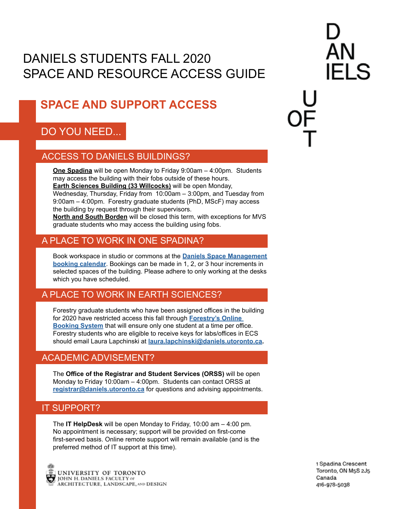# DANIELS STUDENTS FALL 2020 SPACE AND RESOURCE ACCESS GUIDE

# **SPACE AND SUPPORT ACCESS**

## DO YOU NEED...

### ACCESS TO DANIELS BUILDINGS?

**One Spadina** will be open Monday to Friday 9:00am – 4:00pm. Students may access the building with their fobs outside of these hours. **Earth Sciences Building (33 Willcocks)** will be open Monday, Wednesday, Thursday, Friday from 10:00am – 3:00pm, and Tuesday from 9:00am – 4:00pm. Forestry graduate students (PhD, MScF) may access the building by request through their supervisors.

**North and South Borden** will be closed this term, with exceptions for MVS graduate students who may access the building using fobs.

### A PLACE TO WORK IN ONE SPADINA?

Book workspace in studio or commons at the **[Daniels Space Management](https://outlook.office365.com/owa/calendar/DanielsSpaceManagement@utoronto.onmicrosoft.com/bookings/) [booking calendar](https://outlook.office365.com/owa/calendar/DanielsSpaceManagement@utoronto.onmicrosoft.com/bookings/)**. Bookings can be made in 1, 2, or 3 hour increments in selected spaces of the building. Please adhere to only working at the desks which you have scheduled.

## A PLACE TO WORK IN EARTH SCIENCES?

Forestry graduate students who have been assigned offices in the building for 2020 have restricted access this fall through **[Forestry's Online](https://forestry.utoronto.ca/bookings/)  [Booking System](https://forestry.utoronto.ca/bookings/)** that will ensure only one student at a time per office. Forestry students who are eligible to receive keys for labs/offices in ECS should email Laura Lapchinski at **[laura.lapchinski@daniels.utoronto.ca.](mailto:laura.lapchinski%40daniels.utoronto.ca?subject=)**

## ACADEMIC ADVISEMENT?

The **Office of the Registrar and Student Services (ORSS)** will be open Monday to Friday 10:00am – 4:00pm. Students can contact ORSS at **[registrar@daniels.utoronto.ca](mailto:registrar%40daniels.utoronto.ca?subject=)** for questions and advising appointments.

### IT SUPPORT?

The **IT HelpDesk** will be open Monday to Friday, 10:00 am – 4:00 pm. No appointment is necessary; support will be provided on first-come first-served basis. Online remote support will remain available (and is the preferred method of IT support at this time).



1 Spadina Crescent Toronto, ON M5S 2J5 Canada 416-978-5038

FI S